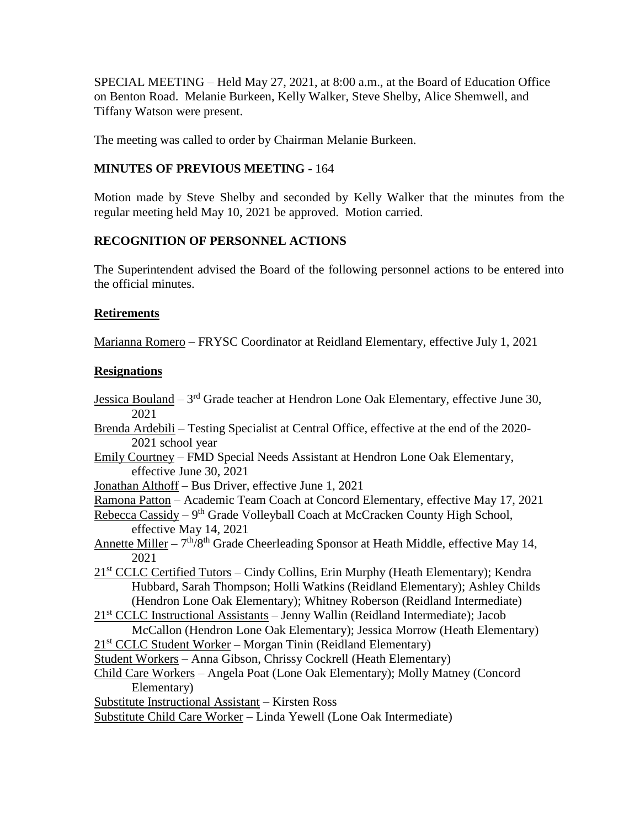SPECIAL MEETING – Held May 27, 2021, at 8:00 a.m., at the Board of Education Office on Benton Road. Melanie Burkeen, Kelly Walker, Steve Shelby, Alice Shemwell, and Tiffany Watson were present.

The meeting was called to order by Chairman Melanie Burkeen.

## **MINUTES OF PREVIOUS MEETING** - 164

Motion made by Steve Shelby and seconded by Kelly Walker that the minutes from the regular meeting held May 10, 2021 be approved. Motion carried.

# **RECOGNITION OF PERSONNEL ACTIONS**

The Superintendent advised the Board of the following personnel actions to be entered into the official minutes.

## **Retirements**

Marianna Romero – FRYSC Coordinator at Reidland Elementary, effective July 1, 2021

### **Resignations**

- Jessica Bouland 3<sup>rd</sup> Grade teacher at Hendron Lone Oak Elementary, effective June 30, 2021
- Brenda Ardebili Testing Specialist at Central Office, effective at the end of the 2020- 2021 school year
- Emily Courtney FMD Special Needs Assistant at Hendron Lone Oak Elementary, effective June 30, 2021
- Jonathan Althoff Bus Driver, effective June 1, 2021
- Ramona Patton Academic Team Coach at Concord Elementary, effective May 17, 2021
- Rebecca Cassidy 9<sup>th</sup> Grade Volleyball Coach at McCracken County High School, effective May 14, 2021
- Annette Miller  $-7<sup>th</sup>/8<sup>th</sup>$  Grade Cheerleading Sponsor at Heath Middle, effective May 14, 2021
- 21st CCLC Certified Tutors Cindy Collins, Erin Murphy (Heath Elementary); Kendra Hubbard, Sarah Thompson; Holli Watkins (Reidland Elementary); Ashley Childs (Hendron Lone Oak Elementary); Whitney Roberson (Reidland Intermediate)

21<sup>st</sup> CCLC Instructional Assistants – Jenny Wallin (Reidland Intermediate); Jacob McCallon (Hendron Lone Oak Elementary); Jessica Morrow (Heath Elementary)

- 21<sup>st</sup> CCLC Student Worker Morgan Tinin (Reidland Elementary)
- Student Workers Anna Gibson, Chrissy Cockrell (Heath Elementary)
- Child Care Workers Angela Poat (Lone Oak Elementary); Molly Matney (Concord Elementary)
- Substitute Instructional Assistant Kirsten Ross

Substitute Child Care Worker – Linda Yewell (Lone Oak Intermediate)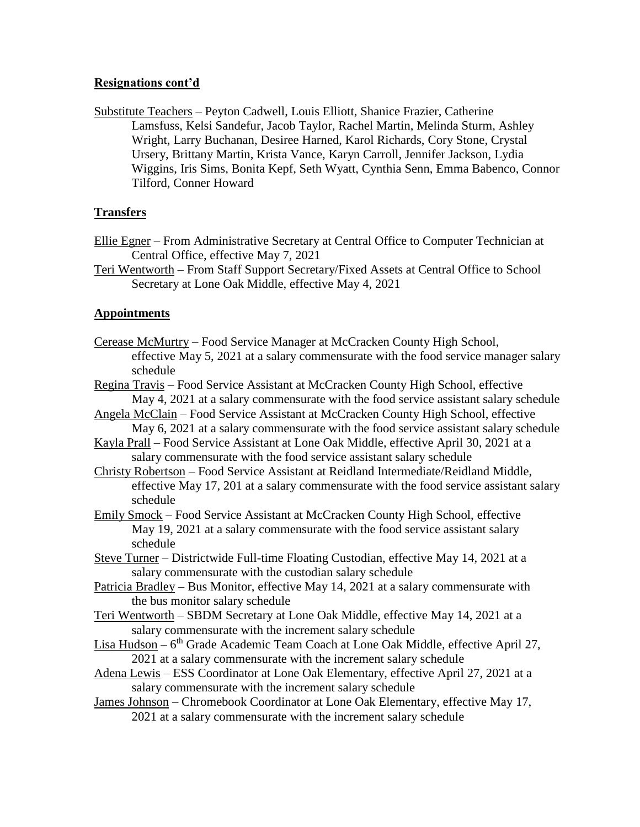#### **Resignations cont'd**

Substitute Teachers – Peyton Cadwell, Louis Elliott, Shanice Frazier, Catherine Lamsfuss, Kelsi Sandefur, Jacob Taylor, Rachel Martin, Melinda Sturm, Ashley Wright, Larry Buchanan, Desiree Harned, Karol Richards, Cory Stone, Crystal Ursery, Brittany Martin, Krista Vance, Karyn Carroll, Jennifer Jackson, Lydia Wiggins, Iris Sims, Bonita Kepf, Seth Wyatt, Cynthia Senn, Emma Babenco, Connor Tilford, Conner Howard

#### **Transfers**

- Ellie Egner From Administrative Secretary at Central Office to Computer Technician at Central Office, effective May 7, 2021
- Teri Wentworth From Staff Support Secretary/Fixed Assets at Central Office to School Secretary at Lone Oak Middle, effective May 4, 2021

#### **Appointments**

- Cerease McMurtry Food Service Manager at McCracken County High School, effective May 5, 2021 at a salary commensurate with the food service manager salary schedule
- Regina Travis Food Service Assistant at McCracken County High School, effective May 4, 2021 at a salary commensurate with the food service assistant salary schedule
- Angela McClain Food Service Assistant at McCracken County High School, effective May 6, 2021 at a salary commensurate with the food service assistant salary schedule
- Kayla Prall Food Service Assistant at Lone Oak Middle, effective April 30, 2021 at a salary commensurate with the food service assistant salary schedule
- Christy Robertson Food Service Assistant at Reidland Intermediate/Reidland Middle, effective May 17, 201 at a salary commensurate with the food service assistant salary schedule
- Emily Smock Food Service Assistant at McCracken County High School, effective May 19, 2021 at a salary commensurate with the food service assistant salary schedule
- Steve Turner Districtwide Full-time Floating Custodian, effective May 14, 2021 at a salary commensurate with the custodian salary schedule
- Patricia Bradley Bus Monitor, effective May 14, 2021 at a salary commensurate with the bus monitor salary schedule
- Teri Wentworth SBDM Secretary at Lone Oak Middle, effective May 14, 2021 at a salary commensurate with the increment salary schedule
- Lisa Hudson 6<sup>th</sup> Grade Academic Team Coach at Lone Oak Middle, effective April 27, 2021 at a salary commensurate with the increment salary schedule
- Adena Lewis ESS Coordinator at Lone Oak Elementary, effective April 27, 2021 at a salary commensurate with the increment salary schedule
- James Johnson Chromebook Coordinator at Lone Oak Elementary, effective May 17, 2021 at a salary commensurate with the increment salary schedule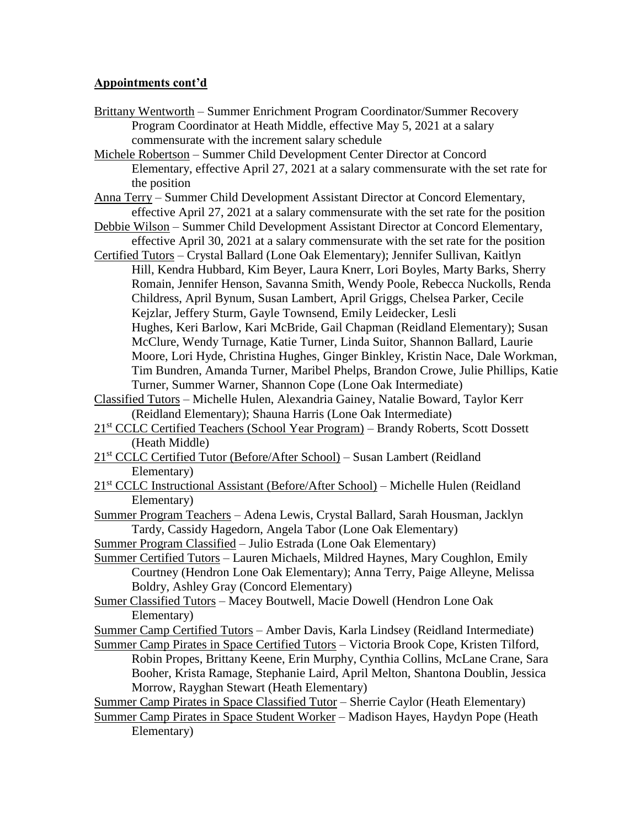### **Appointments cont'd**

- Brittany Wentworth Summer Enrichment Program Coordinator/Summer Recovery Program Coordinator at Heath Middle, effective May 5, 2021 at a salary commensurate with the increment salary schedule
- Michele Robertson Summer Child Development Center Director at Concord Elementary, effective April 27, 2021 at a salary commensurate with the set rate for the position
- Anna Terry Summer Child Development Assistant Director at Concord Elementary, effective April 27, 2021 at a salary commensurate with the set rate for the position
- Debbie Wilson Summer Child Development Assistant Director at Concord Elementary, effective April 30, 2021 at a salary commensurate with the set rate for the position
- Certified Tutors Crystal Ballard (Lone Oak Elementary); Jennifer Sullivan, Kaitlyn Hill, Kendra Hubbard, Kim Beyer, Laura Knerr, Lori Boyles, Marty Barks, Sherry Romain, Jennifer Henson, Savanna Smith, Wendy Poole, Rebecca Nuckolls, Renda Childress, April Bynum, Susan Lambert, April Griggs, Chelsea Parker, Cecile Kejzlar, Jeffery Sturm, Gayle Townsend, Emily Leidecker, Lesli Hughes, Keri Barlow, Kari McBride, Gail Chapman (Reidland Elementary); Susan McClure, Wendy Turnage, Katie Turner, Linda Suitor, Shannon Ballard, Laurie Moore, Lori Hyde, Christina Hughes, Ginger Binkley, Kristin Nace, Dale Workman, Tim Bundren, Amanda Turner, Maribel Phelps, Brandon Crowe, Julie Phillips, Katie Turner, Summer Warner, Shannon Cope (Lone Oak Intermediate)
- Classified Tutors Michelle Hulen, Alexandria Gainey, Natalie Boward, Taylor Kerr (Reidland Elementary); Shauna Harris (Lone Oak Intermediate)
- 21st CCLC Certified Teachers (School Year Program) Brandy Roberts, Scott Dossett (Heath Middle)
- 21st CCLC Certified Tutor (Before/After School) Susan Lambert (Reidland Elementary)
- 21<sup>st</sup> CCLC Instructional Assistant (Before/After School) Michelle Hulen (Reidland Elementary)
- Summer Program Teachers Adena Lewis, Crystal Ballard, Sarah Housman, Jacklyn Tardy, Cassidy Hagedorn, Angela Tabor (Lone Oak Elementary)

Summer Program Classified – Julio Estrada (Lone Oak Elementary)

- Summer Certified Tutors Lauren Michaels, Mildred Haynes, Mary Coughlon, Emily Courtney (Hendron Lone Oak Elementary); Anna Terry, Paige Alleyne, Melissa Boldry, Ashley Gray (Concord Elementary)
- Sumer Classified Tutors Macey Boutwell, Macie Dowell (Hendron Lone Oak Elementary)
- Summer Camp Certified Tutors Amber Davis, Karla Lindsey (Reidland Intermediate)
- Summer Camp Pirates in Space Certified Tutors Victoria Brook Cope, Kristen Tilford, Robin Propes, Brittany Keene, Erin Murphy, Cynthia Collins, McLane Crane, Sara Booher, Krista Ramage, Stephanie Laird, April Melton, Shantona Doublin, Jessica Morrow, Rayghan Stewart (Heath Elementary)

Summer Camp Pirates in Space Classified Tutor – Sherrie Caylor (Heath Elementary)

Summer Camp Pirates in Space Student Worker – Madison Hayes, Haydyn Pope (Heath Elementary)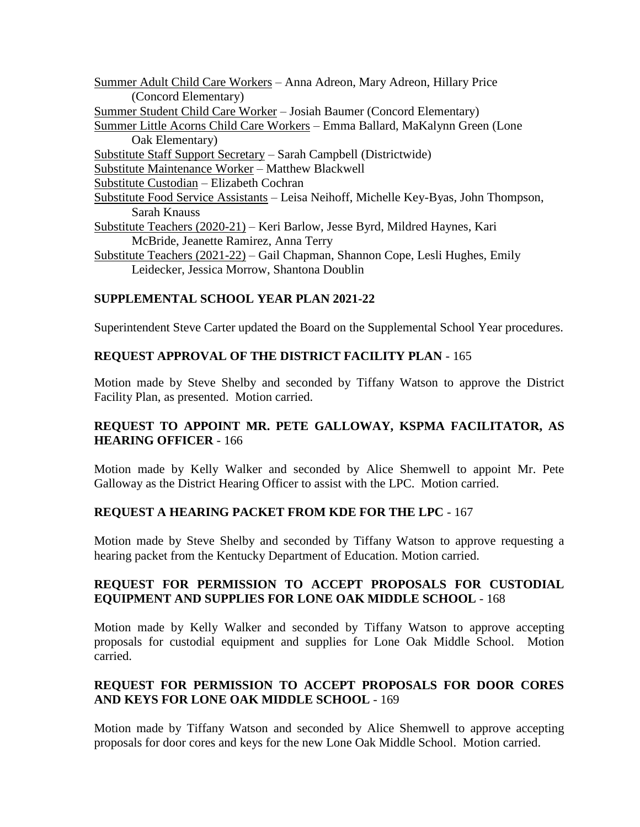Summer Adult Child Care Workers – Anna Adreon, Mary Adreon, Hillary Price (Concord Elementary) Summer Student Child Care Worker – Josiah Baumer (Concord Elementary) Summer Little Acorns Child Care Workers – Emma Ballard, MaKalynn Green (Lone Oak Elementary) Substitute Staff Support Secretary – Sarah Campbell (Districtwide) Substitute Maintenance Worker – Matthew Blackwell Substitute Custodian – Elizabeth Cochran Substitute Food Service Assistants – Leisa Neihoff, Michelle Key-Byas, John Thompson, Sarah Knauss Substitute Teachers (2020-21) – Keri Barlow, Jesse Byrd, Mildred Haynes, Kari McBride, Jeanette Ramirez, Anna Terry Substitute Teachers (2021-22) – Gail Chapman, Shannon Cope, Lesli Hughes, Emily Leidecker, Jessica Morrow, Shantona Doublin

# **SUPPLEMENTAL SCHOOL YEAR PLAN 2021-22**

Superintendent Steve Carter updated the Board on the Supplemental School Year procedures.

## **REQUEST APPROVAL OF THE DISTRICT FACILITY PLAN** - 165

Motion made by Steve Shelby and seconded by Tiffany Watson to approve the District Facility Plan, as presented. Motion carried.

## **REQUEST TO APPOINT MR. PETE GALLOWAY, KSPMA FACILITATOR, AS HEARING OFFICER** - 166

Motion made by Kelly Walker and seconded by Alice Shemwell to appoint Mr. Pete Galloway as the District Hearing Officer to assist with the LPC. Motion carried.

## **REQUEST A HEARING PACKET FROM KDE FOR THE LPC** - 167

Motion made by Steve Shelby and seconded by Tiffany Watson to approve requesting a hearing packet from the Kentucky Department of Education. Motion carried.

### **REQUEST FOR PERMISSION TO ACCEPT PROPOSALS FOR CUSTODIAL EQUIPMENT AND SUPPLIES FOR LONE OAK MIDDLE SCHOOL** - 168

Motion made by Kelly Walker and seconded by Tiffany Watson to approve accepting proposals for custodial equipment and supplies for Lone Oak Middle School. Motion carried.

# **REQUEST FOR PERMISSION TO ACCEPT PROPOSALS FOR DOOR CORES AND KEYS FOR LONE OAK MIDDLE SCHOOL** - 169

Motion made by Tiffany Watson and seconded by Alice Shemwell to approve accepting proposals for door cores and keys for the new Lone Oak Middle School. Motion carried.